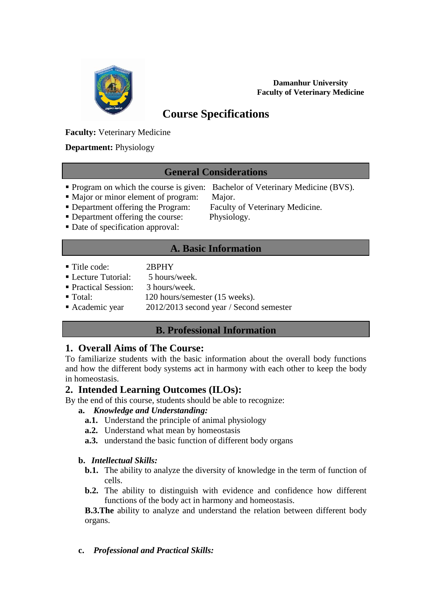

**Damanhur University Faculty of Veterinary Medicine**

# **Course Specifications**

# **Faculty:** Veterinary Medicine

## **Department:** Physiology

# **General Considerations**

- **Program on which the course is given:** Bachelor of Veterinary Medicine (BVS).
- Major or minor element of program: Major.
- 

- Department offering the Program: Faculty of Veterinary Medicine.
- **Department offering the course:** Physiology.
- Date of specification approval:

# **A. Basic Information**

Title code: 2RPHY

L

- Lecture Tutorial:  $\overline{\phantom{a}}$  5 hours/week
- Practical Session: 3 hours/week.
- Total: 120 hours/semester (15 weeks).
- Academic year 2012/2013 second year / Second semester

# **B. Professional Information**

# **1. Overall Aims of The Course:**

To familiarize students with the basic information about the overall body functions and how the different body systems act in harmony with each other to keep the body in homeostasis.

# **2. Intended Learning Outcomes (ILOs):**

By the end of this course, students should be able to recognize:

### **a.** *Knowledge and Understanding:*

- **a.1.** Understand the principle of animal physiology
- **a.2.** Understand what mean by homeostasis
- **a.3.** understand the basic function of different body organs

### **b.** *Intellectual Skills:*

- **b.1.** The ability to analyze the diversity of knowledge in the term of function of cells.
- **b.2.** The ability to distinguish with evidence and confidence how different functions of the body act in harmony and homeostasis.

**B.3.The** ability to analyze and understand the relation between different body organs.

**c.** *Professional and Practical Skills:*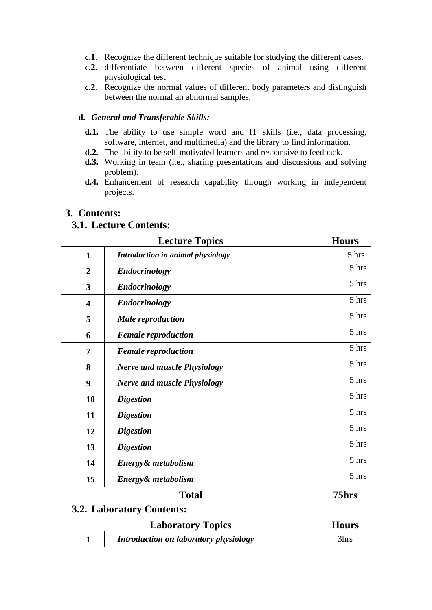- **c.1.** Recognize the different technique suitable for studying the different cases.
- **c.2.** differentiate between different species of animal using different physiological test
- **c.2.** Recognize the normal values of different body parameters and distinguish between the normal an abnormal samples.

#### **d.** *General and Transferable Skills:*

- d.1. The ability to use simple word and IT skills (i.e., data processing, software, internet, and multimedia) and the library to find information.
- **d.2.** The ability to be self-motivated learners and responsive to feedback.
- **d.3.** Working in team (i.e., sharing presentations and discussions and solving problem).
- **d.4.** Enhancement of research capability through working in independent projects.

### **3. Contents:**

#### **3.1. Lecture Contents:**

|                         | <b>Lecture Topics</b>              | <b>Hours</b> |
|-------------------------|------------------------------------|--------------|
| $\mathbf{1}$            | Introduction in animal physiology  | 5 hrs        |
| $\overline{2}$          | <b>Endocrinology</b>               | 5 hrs        |
| 3                       | <b>Endocrinology</b>               | 5 hrs        |
| $\overline{\mathbf{4}}$ | <b>Endocrinology</b>               | 5 hrs        |
| 5                       | <b>Male</b> reproduction           | 5 hrs        |
| 6                       | <b>Female reproduction</b>         | 5 hrs        |
| 7                       | <b>Female reproduction</b>         | 5 hrs        |
| 8                       | <b>Nerve and muscle Physiology</b> | 5 hrs        |
| 9                       | <b>Nerve and muscle Physiology</b> | 5 hrs        |
| 10                      | <b>Digestion</b>                   | 5 hrs        |
| 11                      | <b>Digestion</b>                   | 5 hrs        |
| 12                      | <b>Digestion</b>                   | 5 hrs        |
| 13                      | <b>Digestion</b>                   | 5 hrs        |
| 14                      | Energy& metabolism                 | 5 hrs        |
| 15                      | Energy& metabolism                 | 5 hrs        |
|                         | 75hrs                              |              |

# **3.2. Laboratory Contents:**

| <b>Laboratory Topics</b> |                                       | <b>Hours</b> |
|--------------------------|---------------------------------------|--------------|
|                          | Introduction on laboratory physiology | 3hrs         |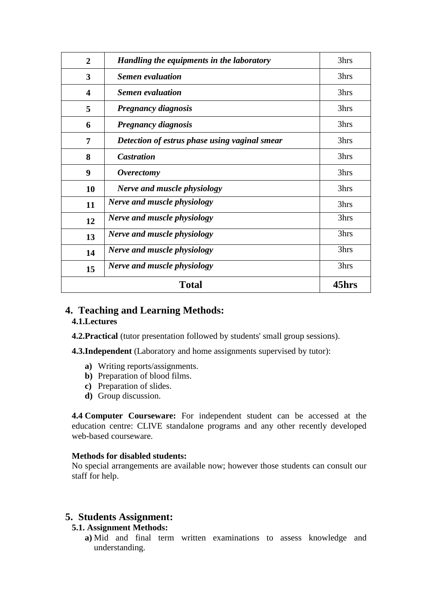| $\overline{2}$          | Handling the equipments in the laboratory     | 3hrs  |
|-------------------------|-----------------------------------------------|-------|
| 3                       | <b>Semen</b> evaluation                       | 3hrs  |
| $\overline{\mathbf{4}}$ | <i>Semen evaluation</i>                       | 3hrs  |
| 5                       | <b>Pregnancy diagnosis</b>                    | 3hrs  |
| 6                       | <b>Pregnancy diagnosis</b>                    | 3hrs  |
| 7                       | Detection of estrus phase using vaginal smear | 3hrs  |
| 8                       | <b>Castration</b>                             | 3hrs  |
| 9                       | <i>Overectomy</i>                             | 3hrs  |
| 10                      | Nerve and muscle physiology                   | 3hrs  |
| 11                      | Nerve and muscle physiology                   | 3hrs  |
| 12                      | Nerve and muscle physiology                   | 3hrs  |
| 13                      | Nerve and muscle physiology                   | 3hrs  |
| 14                      | Nerve and muscle physiology                   | 3hrs  |
| 15                      | Nerve and muscle physiology                   | 3hrs  |
| <b>Total</b>            |                                               | 45hrs |

#### **4. Teaching and Learning Methods: 4.1.Lectures**

**4.2. Practical** (tutor presentation followed by students' small group sessions).

**4.3.Independent** (Laboratory and home assignments supervised by tutor):

- **a)** Writing reports/assignments.
- **b)** Preparation of blood films.
- **c)** Preparation of slides.
- **d)** Group discussion.

**4.4 Computer Courseware:** For independent student can be accessed at the education centre: CLIVE standalone programs and any other recently developed web-based courseware.

#### **Methods for disabled students:**

No special arrangements are available now; however those students can consult our staff for help.

### **5. Students Assignment:**

### **5.1. Assignment Methods:**

**a)** Mid and final term written examinations to assess knowledge and understanding.